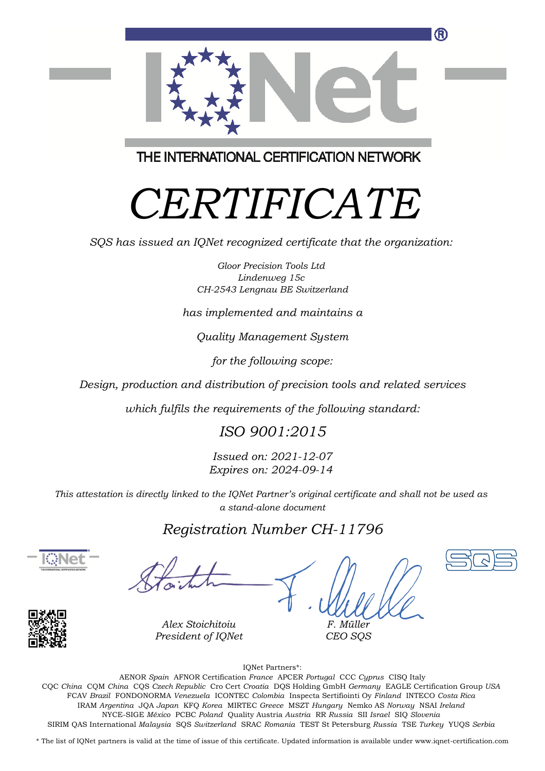

THE INTERNATIONAL CERTIFICATION NETWORK

# *CERTIFICATE*

*SQS has issued an IQNet recognized certificate that the organization:*

*Gloor Precision Tools Ltd Lindenweg 15c CH-2543 Lengnau BE Switzerland*

*has implemented and maintains a*

*Quality Management System*

*for the following scope:*

*Design, production and distribution of precision tools and related services*

*which fulfils the requirements of the following standard:*

#### *ISO 9001:2015*

*Issued on: 2021-12-07 Expires on: 2024-09-14*

*This attestation is directly linked to the IQNet Partner's original certificate and shall not be used as a stand-alone document*

#### *Registration Number CH-11796*





*Alex Stoichitoiu President of IQNet*

*F. Müller CEO SQS*





IQNet Partners\*:

This annex is only valid in connection with the above-mentioned certificate. FCAV *Brazil* FONDONORMA *Venezuela* ICONTEC *Colombia* Inspecta Sertifiointi Oy *Finland* INTECO *Costa Rica* AENOR *Spain* AFNOR Certification *France* APCER *Portugal* CCC *Cyprus* CISQ Italy CQC *China* CQM *China* CQS *Czech Republic* Cro Cert *Croatia* DQS Holding GmbH *Germany* EAGLE Certification Group *USA* IRAM *Argentina* JQA *Japan* KFQ *Korea* MIRTEC *Greece* MSZT *Hungary* Nemko AS *Norway* NSAI *Ireland* NYCE-SIGE *México* PCBC *Poland* Quality Austria *Austria* RR *Russia* SII *Israel* SIQ *Slovenia* SIRIM QAS International *Malaysia* SQS *Switzerland* SRAC *Romania* TEST St Petersburg *Russia* TSE *Turkey* YUQS *Serbia*

\* The list of IQNet partners is valid at the time of issue of this certificate. Updated information is available under www.iqnet-certification.com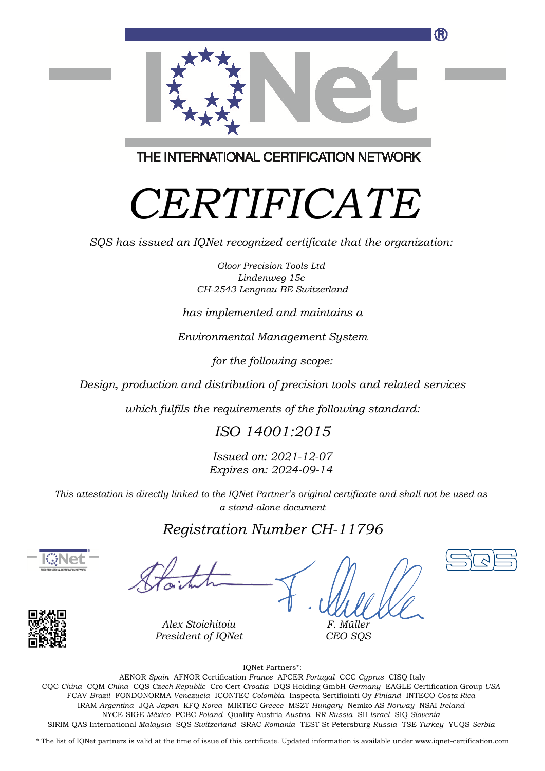

THE INTERNATIONAL CERTIFICATION NETWORK

# *CERTIFICATE*

*SQS has issued an IQNet recognized certificate that the organization:*

*Gloor Precision Tools Ltd Lindenweg 15c CH-2543 Lengnau BE Switzerland*

*has implemented and maintains a*

*Environmental Management System*

*for the following scope:*

*Design, production and distribution of precision tools and related services*

*which fulfils the requirements of the following standard:*

#### *ISO 14001:2015*

*Issued on: 2021-12-07 Expires on: 2024-09-14*

*This attestation is directly linked to the IQNet Partner's original certificate and shall not be used as a stand-alone document*

### *Registration Number CH-11796*





*Alex Stoichitoiu President of IQNet*

*F. Müller CEO SQS*

IQNet Partners\*:

This annex is only valid in connection with the above-mentioned certificate. FCAV *Brazil* FONDONORMA *Venezuela* ICONTEC *Colombia* Inspecta Sertifiointi Oy *Finland* INTECO *Costa Rica* AENOR *Spain* AFNOR Certification *France* APCER *Portugal* CCC *Cyprus* CISQ Italy CQC *China* CQM *China* CQS *Czech Republic* Cro Cert *Croatia* DQS Holding GmbH *Germany* EAGLE Certification Group *USA* IRAM *Argentina* JQA *Japan* KFQ *Korea* MIRTEC *Greece* MSZT *Hungary* Nemko AS *Norway* NSAI *Ireland* NYCE-SIGE *México* PCBC *Poland* Quality Austria *Austria* RR *Russia* SII *Israel* SIQ *Slovenia* SIRIM QAS International *Malaysia* SQS *Switzerland* SRAC *Romania* TEST St Petersburg *Russia* TSE *Turkey* YUQS *Serbia*

\* The list of IQNet partners is valid at the time of issue of this certificate. Updated information is available under www.iqnet-certification.com